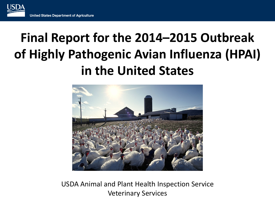# **Final Report for the 2014–2015 Outbreak of Highly Pathogenic Avian Influenza (HPAI) in the United States**



USDA Animal and Plant Health Inspection Service Veterinary Services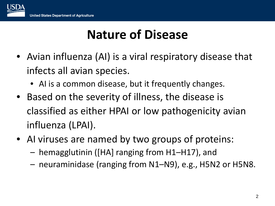# **Nature of Disease**

- Avian influenza (AI) is a viral respiratory disease that infects all avian species.
	- AI is a common disease, but it frequently changes.
- Based on the severity of illness, the disease is classified as either HPAI or low pathogenicity avian influenza (LPAI).
- AI viruses are named by two groups of proteins:
	- hemagglutinin ([HA] ranging from H1–H17), and
	- neuraminidase (ranging from N1–N9), e.g., H5N2 or H5N8.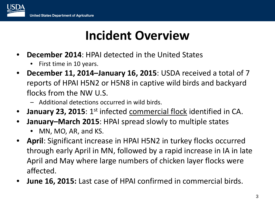

### **Incident Overview**

- **December 2014**: HPAI detected in the United States
	- First time in 10 years.
- **December 11, 2014–January 16, 2015**: USDA received a total of 7 reports of HPAI H5N2 or H5N8 in captive wild birds and backyard flocks from the NW U.S.
	- Additional detections occurred in wild birds.
- **January 23, 2015**: 1<sup>st</sup> infected **commercial flock** identified in CA.
- **January–March 2015**: HPAI spread slowly to multiple states
	- MN, MO, AR, and KS.
- **April**: Significant increase in HPAI H5N2 in turkey flocks occurred through early April in MN, followed by a rapid increase in IA in late April and May where large numbers of chicken layer flocks were affected.
- **June 16, 2015:** Last case of HPAI confirmed in commercial birds.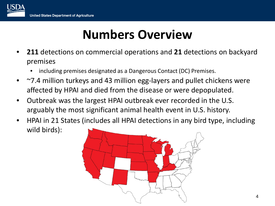## **Numbers Overview**

- **211** detections on commercial operations and **21** detections on backyard premises
	- including premises designated as a Dangerous Contact (DC) Premises.
- ~7.4 million turkeys and 43 million egg-layers and pullet chickens were affected by HPAI and died from the disease or were depopulated.
- Outbreak was the largest HPAI outbreak ever recorded in the U.S. arguably the most significant animal health event in U.S. history.
- HPAI in 21 States (includes all HPAI detections in any bird type, including wild birds):

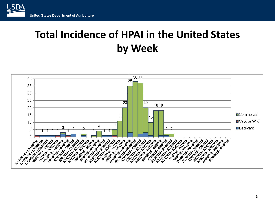

### **Total Incidence of HPAI in the United States by Week**

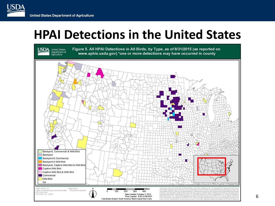USD/

### **HPAI Detections in the United States**

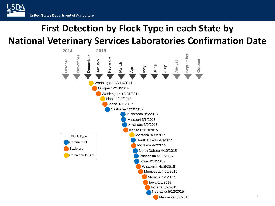### **First Detection by Flock Type in each State by National Veterinary Services Laboratories Confirmation Date**

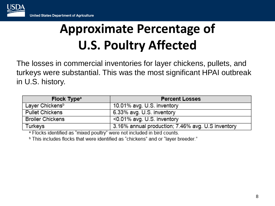# **Approximate Percentage of U.S. Poultry Affected**

The losses in commercial inventories for layer chickens, pullets, and turkeys were substantial. This was the most significant HPAI outbreak in U.S. history.

| Flock Type <sup>a</sup>     | <b>Percent Losses</b>                             |  |  |
|-----------------------------|---------------------------------------------------|--|--|
| Layer Chickens <sup>b</sup> | 10.01% avg. U.S. inventory                        |  |  |
| <b>Pullet Chickens</b>      | 6.33% avg. U.S. inventory                         |  |  |
| <b>Broiler Chickens</b>     | <0.01% avg. U.S. inventory                        |  |  |
| Turkeys                     | 3.16% annual production; 7.46% avg. U.S inventory |  |  |

<sup>a</sup> Flocks identified as "mixed poultry" were not included in bird counts.

<sup>b</sup> This includes flocks that were identified as "chickens" and or "layer breeder."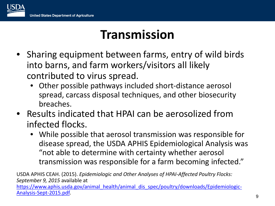## **Transmission**

- Sharing equipment between farms, entry of wild birds into barns, and farm workers/visitors all likely contributed to virus spread.
	- Other possible pathways included short-distance aerosol spread, carcass disposal techniques, and other biosecurity breaches.
- Results indicated that HPAI can be aerosolized from infected flocks.
	- While possible that aerosol transmission was responsible for disease spread, the USDA APHIS Epidemiological Analysis was "not able to determine with certainty whether aerosol transmission was responsible for a farm becoming infected."

USDA APHIS CEAH. (2015). *Epidemiologic and Other Analyses of HPAI-Affected Poultry Flocks: September 9, 2015* available at [https://www.aphis.usda.gov/animal\\_health/animal\\_dis\\_spec/poultry/downloads/Epidemiologic-](https://www.aphis.usda.gov/animal_health/animal_dis_spec/poultry/downloads/Epidemiologic-Analysis-Sept-2015.pdf)Analysis-Sept-2015.pdf. 9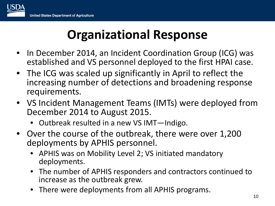## **Organizational Response**

- In December 2014, an Incident Coordination Group (ICG) was established and VS personnel deployed to the first HPAI case.
- The ICG was scaled up significantly in April to reflect the increasing number of detections and broadening response requirements.
- VS Incident Management Teams (IMTs) were deployed from December 2014 to August 2015.
	- Outbreak resulted in a new VS IMT—Indigo.
- Over the course of the outbreak, there were over 1,200 deployments by APHIS personnel.
	- APHIS was on Mobility Level 2; VS initiated mandatory deployments.
	- The number of APHIS responders and contractors continued to increase as the outbreak grew.
	- There were deployments from all APHIS programs.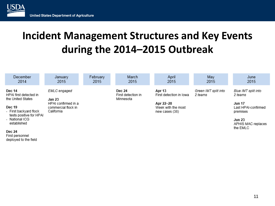### **Incident Management Structures and Key Events during the 2014–2015 Outbreak**

| December<br>2014                                                   | January<br>2015                                          | February<br>2015 | March<br>2015                                    | April<br>2015                                     | May<br>2015                     | June<br>2015                                     |
|--------------------------------------------------------------------|----------------------------------------------------------|------------------|--------------------------------------------------|---------------------------------------------------|---------------------------------|--------------------------------------------------|
| Dec 14<br>HPAI first detected in<br>the United States              | EMLC engaged<br>Jan 23                                   |                  | <b>Dec 24</b><br>First detection in<br>Minnesota | Apr 13<br>First detection in lowa                 | Green IMT split into<br>2 teams | Blue IMT split into<br>2 teams                   |
| <b>Dec 19</b><br>- First backyard flock<br>tests positive for HPAI | HPAI confirmed in a<br>commercial flock in<br>California |                  |                                                  | Apr 22-28<br>Week with the most<br>new cases (38) |                                 | <b>Jun 17</b><br>Last HPAI-confirmed<br>premises |
| - National ICG<br>established                                      |                                                          |                  |                                                  |                                                   |                                 | <b>Jun 23</b><br>APHIS MAC replaces<br>the EMLC  |
| <b>Dec 24</b><br>First personnel                                   |                                                          |                  |                                                  |                                                   |                                 |                                                  |

deployed to the field

**USDA**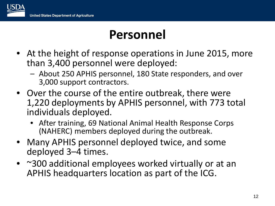### **Personnel**

- At the height of response operations in June 2015, more than 3,400 personnel were deployed:
	- About 250 APHIS personnel, 180 State responders, and over 3,000 support contractors.
- Over the course of the entire outbreak, there were 1,220 deployments by APHIS personnel, with 773 total individuals deployed.
	- After training, 69 National Animal Health Response Corps (NAHERC) members deployed during the outbreak.
- Many APHIS personnel deployed twice, and some deployed 3–4 times.
- ~300 additional employees worked virtually or at an APHIS headquarters location as part of the ICG.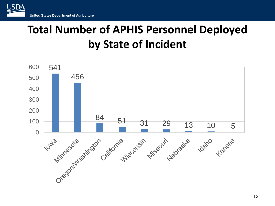

### **Total Number of APHIS Personnel Deployed by State of Incident**

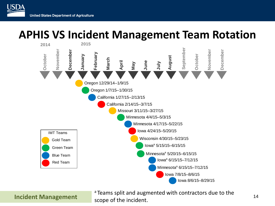### **APHIS VS Incident Management Team Rotation**



<sup>a</sup> Teams split and augmented with contractors due to the scope of the incident.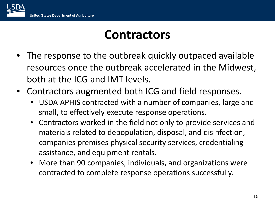### **Contractors**

- The response to the outbreak quickly outpaced available resources once the outbreak accelerated in the Midwest, both at the ICG and IMT levels.
- Contractors augmented both ICG and field responses.
	- USDA APHIS contracted with a number of companies, large and small, to effectively execute response operations.
	- Contractors worked in the field not only to provide services and materials related to depopulation, disposal, and disinfection, companies premises physical security services, credentialing assistance, and equipment rentals.
	- More than 90 companies, individuals, and organizations were contracted to complete response operations successfully.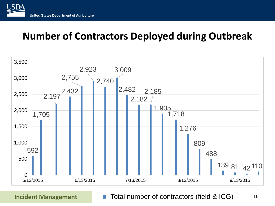

### **Number of Contractors Deployed during Outbreak**



Incident Management **The Total number of contractors (field & ICG)** 16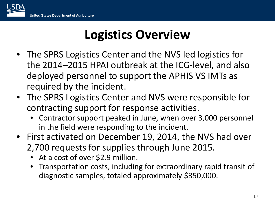## **Logistics Overview**

- The SPRS Logistics Center and the NVS led logistics for the 2014–2015 HPAI outbreak at the ICG-level, and also deployed personnel to support the APHIS VS IMTs as required by the incident.
- The SPRS Logistics Center and NVS were responsible for contracting support for response activities.
	- Contractor support peaked in June, when over 3,000 personnel in the field were responding to the incident.
- First activated on December 19, 2014, the NVS had over 2,700 requests for supplies through June 2015.
	- At a cost of over \$2.9 million.
	- Transportation costs, including for extraordinary rapid transit of diagnostic samples, totaled approximately \$350,000.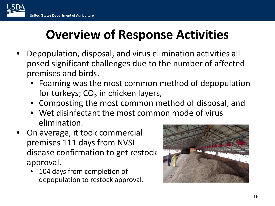# **Overview of Response Activities**

- Depopulation, disposal, and virus elimination activities all posed significant challenges due to the number of affected premises and birds.
	- Foaming was the most common method of depopulation for turkeys;  $CO<sub>2</sub>$  in chicken layers,
	- Composting the most common method of disposal, and
	- Wet disinfectant the most common mode of virus elimination.
- On average, it took commercial premises 111 days from NVSL disease confirmation to get restock approval.
	- 104 days from completion of depopulation to restock approval.

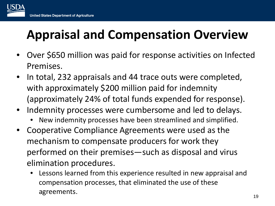# **Appraisal and Compensation Overview**

- Over \$650 million was paid for response activities on Infected Premises.
- In total, 232 appraisals and 44 trace outs were completed, with approximately \$200 million paid for indemnity (approximately 24% of total funds expended for response).
- Indemnity processes were cumbersome and led to delays.
	- New indemnity processes have been streamlined and simplified.
- Cooperative Compliance Agreements were used as the mechanism to compensate producers for work they performed on their premises—such as disposal and virus elimination procedures.
	- Lessons learned from this experience resulted in new appraisal and compensation processes, that eliminated the use of these agreements. 19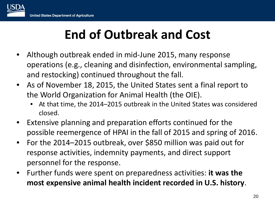# **End of Outbreak and Cost**

- Although outbreak ended in mid-June 2015, many response operations (e.g., cleaning and disinfection, environmental sampling, and restocking) continued throughout the fall.
- As of November 18, 2015, the United States sent a final report to the World Organization for Animal Health (the OIE).
	- At that time, the 2014–2015 outbreak in the United States was considered closed.
- Extensive planning and preparation efforts continued for the possible reemergence of HPAI in the fall of 2015 and spring of 2016.
- For the 2014–2015 outbreak, over \$850 million was paid out for response activities, indemnity payments, and direct support personnel for the response.
- Further funds were spent on preparedness activities: **it was the most expensive animal health incident recorded in U.S. history**.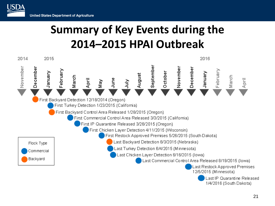USDA

## **Summary of Key Events during the 2014–2015 HPAI Outbreak**



Last IP Quarantine Released 1/4/2016 (South Dakota)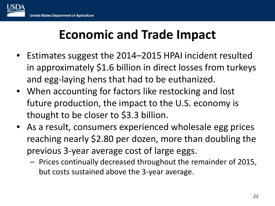

## **Economic and Trade Impact**

- Estimates suggest the 2014–2015 HPAI incident resulted in approximately \$1.6 billion in direct losses from turkeys and egg-laying hens that had to be euthanized.
- When accounting for factors like restocking and lost future production, the impact to the U.S. economy is thought to be closer to \$3.3 billion.
- As a result, consumers experienced wholesale egg prices reaching nearly \$2.80 per dozen, more than doubling the previous 3-year average cost of large eggs.
	- Prices continually decreased throughout the remainder of 2015, but costs sustained above the 3-year average.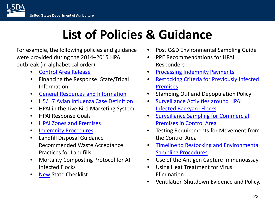# **List of Policies & Guidance**

For example, the following policies and guidance were provided during the 2014–2015 HPAI outbreak (in alphabetical order):

- [Control Area Release](http://www.aphis.usda.gov/animal_health/emergency_management/downloads/hpai/control_area_release.pdf)
- Financing the Response: State/Tribal Information
- [General Resources and Information](http://www.aphis.usda.gov/animal_health/emergency_management/downloads/hpai/hpai_generalresources.pdf)
- [H5/H7 Avian Influenza Case Definition](http://www.aphis.usda.gov/animal_health/emergency_management/downloads/hpai/case_definition.pdf)
- HPAI in the Live Bird Marketing System
- HPAI Response Goals
- [HPAI Zones and Premises](http://www.aphis.usda.gov/animal_health/emergency_management/downloads/hpai/hpai_zones.pdf)
- [Indemnity Procedures](http://www.aphis.usda.gov/animal_health/emergency_management/downloads/hpai/indemnity_procedures.pdf)
- Landfill Disposal Guidance— Recommended Waste Acceptance Practices for Landfills
- Mortality Composting Protocol for AI Infected Flocks
- [New](http://www.aphis.usda.gov/animal_health/emergency_management/downloads/hpai/newdetectionnewstate.pdf) State Checklist
- Post C&D Environmental Sampling Guide
- PPE Recommendations for HPAI Responders
- [Processing Indemnity Payments](http://www.aphis.usda.gov/animal_health/emergency_management/downloads/hpai/hpai_processingindemnity.pdf)
- [Restocking Criteria for Previously Infected](http://www.aphis.usda.gov/animal_health/emergency_management/downloads/hpai/criteriarestock.pdf) Premises
- Stamping Out and Depopulation Policy
- [Surveillance Activities around HPAI](http://www.aphis.usda.gov/animal_health/emergency_management/downloads/hpai/survsampling_byflocks.pdf)  Infected Backyard Flocks
- [Surveillance Sampling for Commercial](http://www.aphis.usda.gov/animal_health/emergency_management/downloads/hpai/survsampling_controlarea_commercial.pdf) Premises in Control Area
- Testing Requirements for Movement from the Control Area
- [Timeline to Restocking and Environmental](http://www.aphis.usda.gov/animal_health/emergency_management/downloads/hpai/restockingsampling_procedures.pdf) Sampling Procedures
- Use of the Antigen Capture Immunoassay
- Using Heat Treatment for Virus Elimination
- Ventilation Shutdown Evidence and Policy.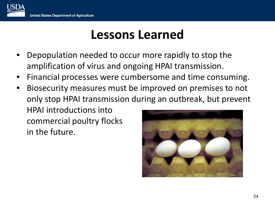

### **Lessons Learned**

- Depopulation needed to occur more rapidly to stop the amplification of virus and ongoing HPAI transmission.
- Financial processes were cumbersome and time consuming.
- Biosecurity measures must be improved on premises to not only stop HPAI transmission during an outbreak, but prevent HPAI introductions into commercial poultry flocks in the future.

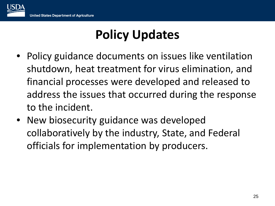# **Policy Updates**

- Policy guidance documents on issues like ventilation shutdown, heat treatment for virus elimination, and financial processes were developed and released to address the issues that occurred during the response to the incident.
- New biosecurity guidance was developed collaboratively by the industry, State, and Federal officials for implementation by producers.